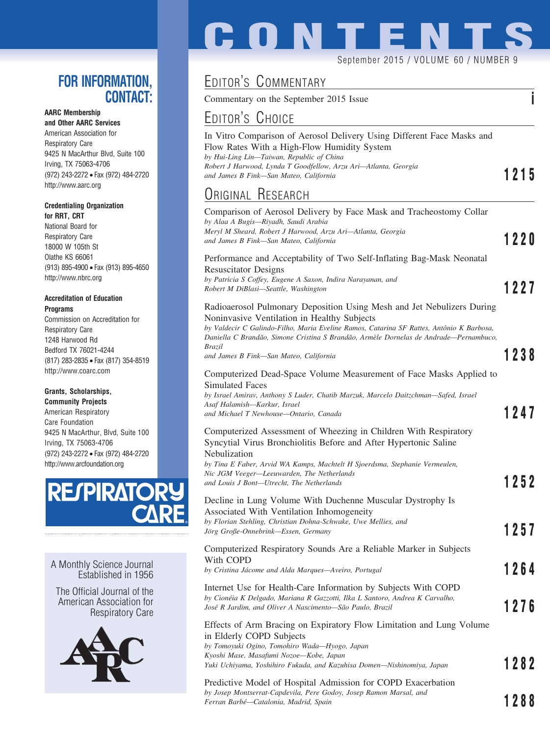## **FOR INFORMATION, CONTACT:**

## **AARC Membership**

**and Other AARC Services** American Association for Respiratory Care 9425 N MacArthur Blvd, Suite 100 Irving, TX 75063-4706 (972) 243-2272 • Fax (972) 484-2720 http://www.aarc.org

#### **Credentialing Organization for RRT, CRT**

National Board for Respiratory Care 18000 W 105th St Olathe KS 66061 (913) 895-4900 • Fax (913) 895-4650 http://www.nbrc.org

#### **Accreditation of Education Programs**

Commission on Accreditation for Respiratory Care 1248 Harwood Rd Bedford TX 76021-4244 (817) 283-2835 • Fax (817) 354-8519 http://www.coarc.com

### **Grants, Scholarships,**

**Community Projects** American Respiratory Care Foundation 9425 N MacArthur, Blvd, Suite 100 Irving, TX 75063-4706 (972) 243-2272 • Fax (972) 484-2720 http://www.arcfoundation.org



A Monthly Science Journal Established in 1956

The Official Journal of the American Association for Respiratory Care



# **CONTENT**

#### September 2015 / VOLUME 60 / NUMBER 9

## EDITOR'S COMMENTARY

Commentary on the September 2015 Issue **i**

## EDITOR'S CHOICE

| In Vitro Comparison of Aerosol Delivery Using Different Face Masks and |      |
|------------------------------------------------------------------------|------|
| Flow Rates With a High-Flow Humidity System                            |      |
| by Hui-Ling Lin—Taiwan, Republic of China                              |      |
| Robert J Harwood, Lynda T Goodfellow, Arzu Ari-Atlanta, Georgia        |      |
| and James B Fink—San Mateo, California                                 | 1215 |
| ODIAILLE DEAEADAU                                                      |      |

#### ORIGINAL RESEARCH Comparison of Aerosol Delivery by Face Mask and Tracheostomy Collar *by Alaa A Bugis—Riyadh, Saudi Arabia Meryl M Sheard, Robert J Harwood, Arzu Ari—Atlanta, Georgia and James B Fink—San Mateo, California* **1220** Performance and Acceptability of Two Self-Inflating Bag-Mask Neonatal Resuscitator Designs *by Patricia S Coffey, Eugene A Saxon, Indira Narayanan, and Robert M DiBlasi—Seattle, Washington* **1227** Radioaerosol Pulmonary Deposition Using Mesh and Jet Nebulizers During Noninvasive Ventilation in Healthy Subjects *by Valdecir C Galindo-Filho, Maria Eveline Ramos, Catarina SF Rattes, Antoˆnio K Barbosa, Daniella C Branda˜o, Simone Cristina S Branda˜o, Arme`le Dornelas de Andrade—Pernambuco, Brazil and James B Fink—San Mateo, California* **1238** Computerized Dead-Space Volume Measurement of Face Masks Applied to Simulated Faces *by Israel Amirav, Anthony S Luder, Chatib Marzuk, Marcelo Daitzchman—Safed, Israel Asaf Halamish—Karkur, Israel and Michael T Newhouse—Ontario, Canada* **1247** Computerized Assessment of Wheezing in Children With Respiratory Syncytial Virus Bronchiolitis Before and After Hypertonic Saline Nebulization *by Tina E Faber, Arvid WA Kamps, Machtelt H Sjoerdsma, Stephanie Vermeulen, Nic JGM Veeger—Leeuwarden, The Netherlands and Louis J Bont—Utrecht, The Netherlands* **1252** Decline in Lung Volume With Duchenne Muscular Dystrophy Is Associated With Ventilation Inhomogeneity *by Florian Stehling, Christian Dohna-Schwake, Uwe Mellies, and Joïrg Große-Onnebrink—Essen, Germany* **1257** Computerized Respiratory Sounds Are a Reliable Marker in Subjects With COPD by Cristina Jácome and Alda Marques—Aveiro, Portugal **1264** Internet Use for Health-Care Information by Subjects With COPD *by Cione´ia K Delgado, Mariana R Gazzotti, Ilka L Santoro, Andrea K Carvalho, Jose´ R Jardim, and Oliver A Nascimento—Sa˜o Paulo, Brazil* **1276** Effects of Arm Bracing on Expiratory Flow Limitation and Lung Volume in Elderly COPD Subjects *by Tomoyuki Ogino, Tomohiro Wada—Hyogo, Japan Kyoshi Mase, Masafumi Nozoe—Kobe, Japan*

*Yuki Uchiyama, Yoshihiro Fukuda, and Kazuhisa Domen—Nishinomiya, Japan* **1282**

Predictive Model of Hospital Admission for COPD Exacerbation *by Josep Montserrat-Capdevila, Pere Godoy, Josep Ramon Marsal, and Ferran Barbe´—Catalonia, Madrid, Spain* **1288**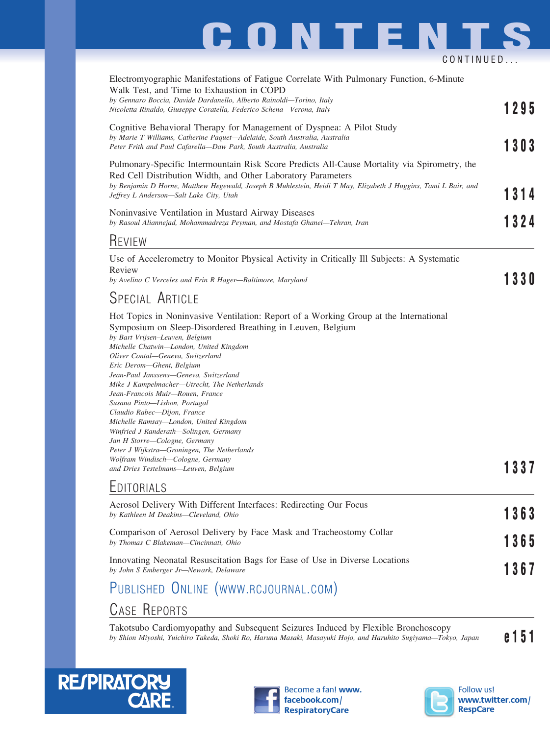# **CONTENTS** CONTINUED...

| Electromyographic Manifestations of Fatigue Correlate With Pulmonary Function, 6-Minute<br>Walk Test, and Time to Exhaustion in COPD<br>by Gennaro Boccia, Davide Dardanello, Alberto Rainoldi-Torino, Italy<br>Nicoletta Rinaldo, Giuseppe Coratella, Federico Schena-Verona, Italy                                                                                                                                                                                                                                                                                                                                                                      | 1295 |
|-----------------------------------------------------------------------------------------------------------------------------------------------------------------------------------------------------------------------------------------------------------------------------------------------------------------------------------------------------------------------------------------------------------------------------------------------------------------------------------------------------------------------------------------------------------------------------------------------------------------------------------------------------------|------|
| Cognitive Behavioral Therapy for Management of Dyspnea: A Pilot Study<br>by Marie T Williams, Catherine Paquet-Adelaide, South Australia, Australia<br>Peter Frith and Paul Cafarella-Daw Park, South Australia, Australia                                                                                                                                                                                                                                                                                                                                                                                                                                | 1303 |
| Pulmonary-Specific Intermountain Risk Score Predicts All-Cause Mortality via Spirometry, the<br>Red Cell Distribution Width, and Other Laboratory Parameters<br>by Benjamin D Horne, Matthew Hegewald, Joseph B Muhlestein, Heidi T May, Elizabeth J Huggins, Tami L Bair, and<br>Jeffrey L Anderson-Salt Lake City, Utah                                                                                                                                                                                                                                                                                                                                 | 1314 |
| Noninvasive Ventilation in Mustard Airway Diseases<br>by Rasoul Aliannejad, Mohammadreza Peyman, and Mostafa Ghanei-Tehran, Iran                                                                                                                                                                                                                                                                                                                                                                                                                                                                                                                          | 1324 |
| <b>KEVIEW</b>                                                                                                                                                                                                                                                                                                                                                                                                                                                                                                                                                                                                                                             |      |
| Use of Accelerometry to Monitor Physical Activity in Critically Ill Subjects: A Systematic                                                                                                                                                                                                                                                                                                                                                                                                                                                                                                                                                                |      |
| Review<br>by Avelino C Verceles and Erin R Hager-Baltimore, Maryland                                                                                                                                                                                                                                                                                                                                                                                                                                                                                                                                                                                      | 1330 |
| SPECIAL ARTICLE                                                                                                                                                                                                                                                                                                                                                                                                                                                                                                                                                                                                                                           |      |
| Symposium on Sleep-Disordered Breathing in Leuven, Belgium<br>by Bart Vrijsen-Leuven, Belgium<br>Michelle Chatwin—London, United Kingdom<br>Oliver Contal-Geneva, Switzerland<br>Eric Derom-Ghent, Belgium<br>Jean-Paul Janssens—Geneva, Switzerland<br>Mike J Kampelmacher-Utrecht, The Netherlands<br>Jean-Francois Muir—Rouen, France<br>Susana Pinto-Lisbon, Portugal<br>Claudio Rabec-Dijon, France<br>Michelle Ramsay-London, United Kingdom<br>Winfried J Randerath—Solingen, Germany<br>Jan H Storre-Cologne, Germany<br>Peter J Wijkstra-Groningen, The Netherlands<br>Wolfram Windisch-Cologne, Germany<br>and Dries Testelmans-Leuven, Belgium | 13   |
| EDITORIALS                                                                                                                                                                                                                                                                                                                                                                                                                                                                                                                                                                                                                                                |      |
| Aerosol Delivery With Different Interfaces: Redirecting Our Focus<br>by Kathleen M Deakins-Cleveland, Ohio                                                                                                                                                                                                                                                                                                                                                                                                                                                                                                                                                | 363  |
| Comparison of Aerosol Delivery by Face Mask and Tracheostomy Collar<br>by Thomas C Blakeman-Cincinnati, Ohio                                                                                                                                                                                                                                                                                                                                                                                                                                                                                                                                              | 1365 |
| Innovating Neonatal Resuscitation Bags for Ease of Use in Diverse Locations<br>by John S Emberger Jr-Newark, Delaware                                                                                                                                                                                                                                                                                                                                                                                                                                                                                                                                     | 367  |
| PUBLISHED ONLINE (WWW.RCJOURNAL.COM)                                                                                                                                                                                                                                                                                                                                                                                                                                                                                                                                                                                                                      |      |

## CASE REPORTS

Takotsubo Cardiomyopathy and Subsequent Seizures Induced by Flexible Bronchoscopy *by Shion Miyoshi, Yuichiro Takeda, Shoki Ro, Haruna Masaki, Masayuki Hojo, and Haruhito Sugiyama—Tokyo, Japan* **e151**